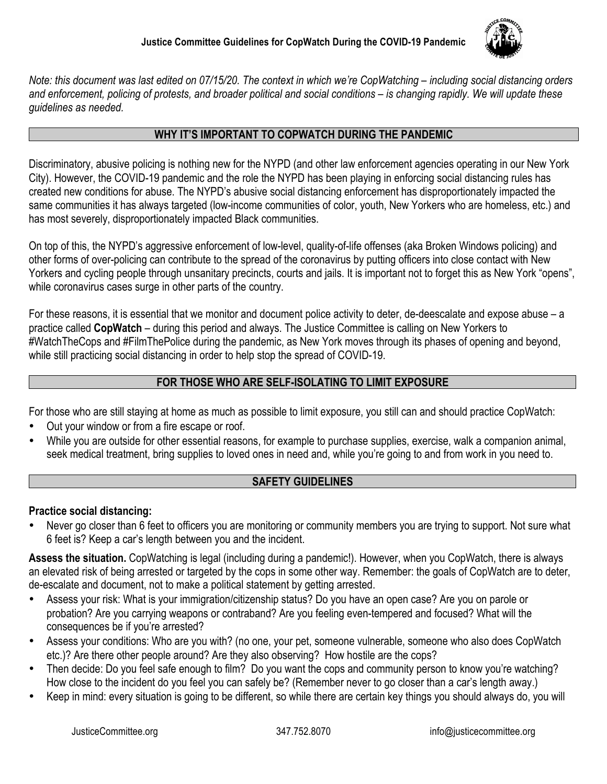

*Note: this document was last edited on 07/15/20. The context in which we're CopWatching – including social distancing orders and enforcement, policing of protests, and broader political and social conditions – is changing rapidly. We will update these guidelines as needed.*

#### **WHY IT'S IMPORTANT TO COPWATCH DURING THE PANDEMIC**

Discriminatory, abusive policing is nothing new for the NYPD (and other law enforcement agencies operating in our New York City). However, the COVID-19 pandemic and the role the NYPD has been playing in enforcing social distancing rules has created new conditions for abuse. The NYPD's abusive social distancing enforcement has disproportionately impacted the same communities it has always targeted (low-income communities of color, youth, New Yorkers who are homeless, etc.) and has most severely, disproportionately impacted Black communities.

On top of this, the NYPD's aggressive enforcement of low-level, quality-of-life offenses (aka Broken Windows policing) and other forms of over-policing can contribute to the spread of the coronavirus by putting officers into close contact with New Yorkers and cycling people through unsanitary precincts, courts and jails. It is important not to forget this as New York "opens", while coronavirus cases surge in other parts of the country.

For these reasons, it is essential that we monitor and document police activity to deter, de-deescalate and expose abuse – a practice called **CopWatch** – during this period and always. The Justice Committee is calling on New Yorkers to #WatchTheCops and #FilmThePolice during the pandemic, as New York moves through its phases of opening and beyond, while still practicing social distancing in order to help stop the spread of COVID-19.

### **FOR THOSE WHO ARE SELF-ISOLATING TO LIMIT EXPOSURE**

For those who are still staying at home as much as possible to limit exposure, you still can and should practice CopWatch:

- Out your window or from a fire escape or roof.
- While you are outside for other essential reasons, for example to purchase supplies, exercise, walk a companion animal, seek medical treatment, bring supplies to loved ones in need and, while you're going to and from work in you need to.

# **SAFETY GUIDELINES**

#### **Practice social distancing:**

• Never go closer than 6 feet to officers you are monitoring or community members you are trying to support. Not sure what 6 feet is? Keep a car's length between you and the incident.

**Assess the situation.** CopWatching is legal (including during a pandemic!). However, when you CopWatch, there is always an elevated risk of being arrested or targeted by the cops in some other way. Remember: the goals of CopWatch are to deter, de-escalate and document, not to make a political statement by getting arrested.

- Assess your risk: What is your immigration/citizenship status? Do you have an open case? Are you on parole or probation? Are you carrying weapons or contraband? Are you feeling even-tempered and focused? What will the consequences be if you're arrested?
- Assess your conditions: Who are you with? (no one, your pet, someone vulnerable, someone who also does CopWatch etc.)? Are there other people around? Are they also observing? How hostile are the cops?
- Then decide: Do you feel safe enough to film? Do you want the cops and community person to know you're watching? How close to the incident do you feel you can safely be? (Remember never to go closer than a car's length away.)
- Keep in mind: every situation is going to be different, so while there are certain key things you should always do, you will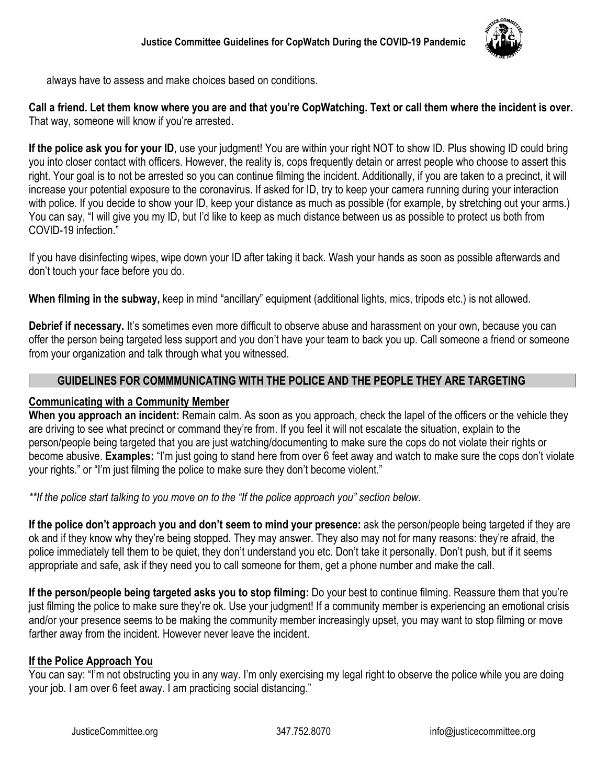

always have to assess and make choices based on conditions.

**Call a friend. Let them know where you are and that you're CopWatching. Text or call them where the incident is over.**  That way, someone will know if you're arrested.

**If the police ask you for your ID**, use your judgment! You are within your right NOT to show ID. Plus showing ID could bring you into closer contact with officers. However, the reality is, cops frequently detain or arrest people who choose to assert this right. Your goal is to not be arrested so you can continue filming the incident. Additionally, if you are taken to a precinct, it will increase your potential exposure to the coronavirus. If asked for ID, try to keep your camera running during your interaction with police. If you decide to show your ID, keep your distance as much as possible (for example, by stretching out your arms.) You can say, "I will give you my ID, but I'd like to keep as much distance between us as possible to protect us both from COVID-19 infection."

If you have disinfecting wipes, wipe down your ID after taking it back. Wash your hands as soon as possible afterwards and don't touch your face before you do.

**When filming in the subway,** keep in mind "ancillary" equipment (additional lights, mics, tripods etc.) is not allowed.

**Debrief if necessary.** It's sometimes even more difficult to observe abuse and harassment on your own, because you can offer the person being targeted less support and you don't have your team to back you up. Call someone a friend or someone from your organization and talk through what you witnessed.

### **GUIDELINES FOR COMMMUNICATING WITH THE POLICE AND THE PEOPLE THEY ARE TARGETING**

#### **Communicating with a Community Member**

**When you approach an incident:** Remain calm. As soon as you approach, check the lapel of the officers or the vehicle they are driving to see what precinct or command they're from. If you feel it will not escalate the situation, explain to the person/people being targeted that you are just watching/documenting to make sure the cops do not violate their rights or become abusive. **Examples:** "I'm just going to stand here from over 6 feet away and watch to make sure the cops don't violate your rights." or "I'm just filming the police to make sure they don't become violent."

*\*\*If the police start talking to you move on to the "If the police approach you" section below.*

**If the police don't approach you and don't seem to mind your presence:** ask the person/people being targeted if they are ok and if they know why they're being stopped. They may answer. They also may not for many reasons: they're afraid, the police immediately tell them to be quiet, they don't understand you etc. Don't take it personally. Don't push, but if it seems appropriate and safe, ask if they need you to call someone for them, get a phone number and make the call.

**If the person/people being targeted asks you to stop filming:** Do your best to continue filming. Reassure them that you're just filming the police to make sure they're ok. Use your judgment! If a community member is experiencing an emotional crisis and/or your presence seems to be making the community member increasingly upset, you may want to stop filming or move farther away from the incident. However never leave the incident.

#### **If the Police Approach You**

You can say: "I'm not obstructing you in any way. I'm only exercising my legal right to observe the police while you are doing your job. I am over 6 feet away. I am practicing social distancing."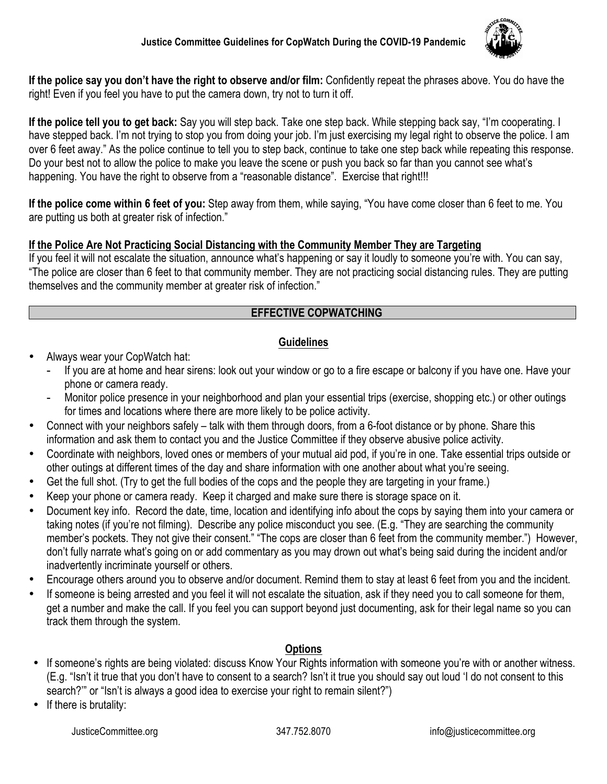

**If the police say you don't have the right to observe and/or film:** Confidently repeat the phrases above. You do have the right! Even if you feel you have to put the camera down, try not to turn it off.

**If the police tell you to get back:** Say you will step back. Take one step back. While stepping back say, "I'm cooperating. I have stepped back. I'm not trying to stop you from doing your job. I'm just exercising my legal right to observe the police. I am over 6 feet away." As the police continue to tell you to step back, continue to take one step back while repeating this response. Do your best not to allow the police to make you leave the scene or push you back so far than you cannot see what's happening. You have the right to observe from a "reasonable distance". Exercise that right!!!

**If the police come within 6 feet of you:** Step away from them, while saying, "You have come closer than 6 feet to me. You are putting us both at greater risk of infection."

# **If the Police Are Not Practicing Social Distancing with the Community Member They are Targeting**

If you feel it will not escalate the situation, announce what's happening or say it loudly to someone you're with. You can say, "The police are closer than 6 feet to that community member. They are not practicing social distancing rules. They are putting themselves and the community member at greater risk of infection."

# **EFFECTIVE COPWATCHING**

### **Guidelines**

- Always wear your CopWatch hat:
	- If you are at home and hear sirens: look out your window or go to a fire escape or balcony if you have one. Have your phone or camera ready.
	- Monitor police presence in your neighborhood and plan your essential trips (exercise, shopping etc.) or other outings for times and locations where there are more likely to be police activity.
- Connect with your neighbors safely talk with them through doors, from a 6-foot distance or by phone. Share this information and ask them to contact you and the Justice Committee if they observe abusive police activity.
- Coordinate with neighbors, loved ones or members of your mutual aid pod, if you're in one. Take essential trips outside or other outings at different times of the day and share information with one another about what you're seeing.
- Get the full shot. (Try to get the full bodies of the cops and the people they are targeting in your frame.)
- Keep your phone or camera ready. Keep it charged and make sure there is storage space on it.
- Document key info. Record the date, time, location and identifying info about the cops by saying them into your camera or taking notes (if you're not filming). Describe any police misconduct you see. (E.g. "They are searching the community member's pockets. They not give their consent." "The cops are closer than 6 feet from the community member.") However, don't fully narrate what's going on or add commentary as you may drown out what's being said during the incident and/or inadvertently incriminate yourself or others.
- Encourage others around you to observe and/or document. Remind them to stay at least 6 feet from you and the incident.
- If someone is being arrested and you feel it will not escalate the situation, ask if they need you to call someone for them, get a number and make the call. If you feel you can support beyond just documenting, ask for their legal name so you can track them through the system.

# **Options**

- If someone's rights are being violated: discuss Know Your Rights information with someone you're with or another witness. (E.g. "Isn't it true that you don't have to consent to a search? Isn't it true you should say out loud 'I do not consent to this search?" or "Isn't is always a good idea to exercise your right to remain silent?")
- If there is brutality: